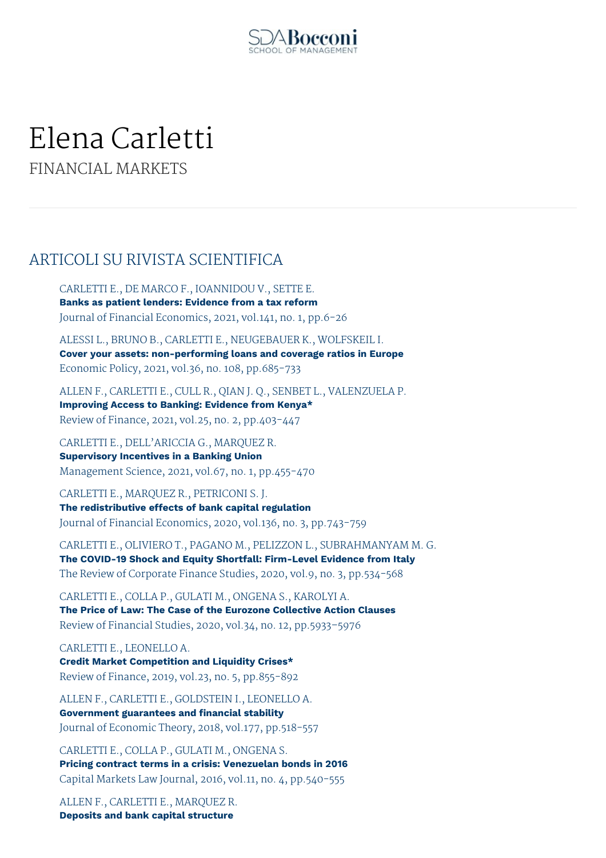

# Elena Carletti

FINANCIAL MARKETS

# ARTICOLI SU RIVISTA SCIENTIFICA

CARLETTI E., DE MARCO F., IOANNIDOU V., SETTE E. **Banks as patient lenders: Evidence from a tax reform** Journal of Financial Economics, 2021, vol.141, no. 1, pp.6-26

ALESSI L., BRUNO B., CARLETTI E., NEUGEBAUER K., WOLFSKEIL I. **Cover your assets: non-performing loans and coverage ratios in Europe** Economic Policy, 2021, vol.36, no. 108, pp.685-733

ALLEN F., CARLETTI E., CULL R., QIAN J. Q., SENBET L., VALENZUELA P. **Improving Access to Banking: Evidence from Kenya\*** Review of Finance, 2021, vol.25, no. 2, pp.403-447

CARLETTI E., DELL'ARICCIA G., MARQUEZ R. **Supervisory Incentives in a Banking Union** Management Science, 2021, vol.67, no. 1, pp.455-470

CARLETTI E., MARQUEZ R., PETRICONI S. J. **The redistributive effects of bank capital regulation** Journal of Financial Economics, 2020, vol.136, no. 3, pp.743-759

CARLETTI E., OLIVIERO T., PAGANO M., PELIZZON L., SUBRAHMANYAM M. G. **The COVID-19 Shock and Equity Shortfall: Firm-Level Evidence from Italy** The Review of Corporate Finance Studies, 2020, vol.9, no. 3, pp.534-568

CARLETTI E., COLLA P., GULATI M., ONGENA S., KAROLYI A. **The Price of Law: The Case of the Eurozone Collective Action Clauses** Review of Financial Studies, 2020, vol.34, no. 12, pp.5933–5976

CARLETTI E., LEONELLO A. **Credit Market Competition and Liquidity Crises\*** Review of Finance, 2019, vol.23, no. 5, pp.855-892

ALLEN F., CARLETTI E., GOLDSTEIN I., LEONELLO A. **Government guarantees and financial stability** Journal of Economic Theory, 2018, vol.177, pp.518-557

CARLETTI E., COLLA P., GULATI M., ONGENA S. **Pricing contract terms in a crisis: Venezuelan bonds in 2016** Capital Markets Law Journal, 2016, vol.11, no. 4, pp.540-555

ALLEN F., CARLETTI E., MARQUEZ R. **Deposits and bank capital structure**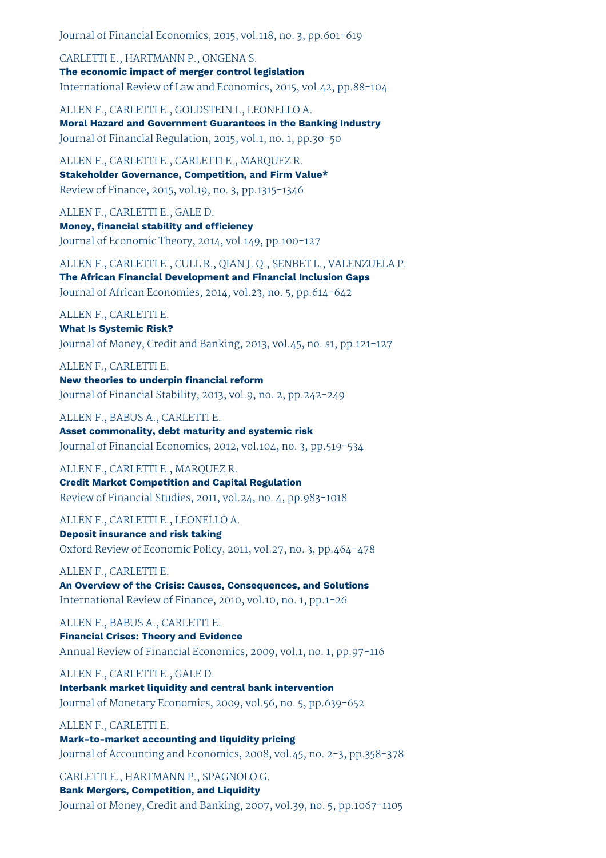Journal of Financial Economics, 2015, vol.118, no. 3, pp.601-619

CARLETTI E., HARTMANN P., ONGENA S. **The economic impact of merger control legislation** International Review of Law and Economics, 2015, vol.42, pp.88-104

ALLEN F., CARLETTI E., GOLDSTEIN I., LEONELLO A. **Moral Hazard and Government Guarantees in the Banking Industry** Journal of Financial Regulation, 2015, vol.1, no. 1, pp.30-50

ALLEN F., CARLETTI E., CARLETTI E., MARQUEZ R. **Stakeholder Governance, Competition, and Firm Value\*** Review of Finance, 2015, vol.19, no. 3, pp.1315-1346

ALLEN F., CARLETTI E., GALE D. **Money, financial stability and efficiency** Journal of Economic Theory, 2014, vol.149, pp.100-127

ALLEN F., CARLETTI E., CULL R., QIAN J. Q., SENBET L., VALENZUELA P. **The African Financial Development and Financial Inclusion Gaps**

Journal of African Economies, 2014, vol.23, no. 5, pp.614-642

ALLEN F., CARLETTI E.

**What Is Systemic Risk?** Journal of Money, Credit and Banking, 2013, vol.45, no. s1, pp.121-127

ALLEN F., CARLETTI E. **New theories to underpin financial reform** Journal of Financial Stability, 2013, vol.9, no. 2, pp.242-249

ALLEN F., BABUS A., CARLETTI E. **Asset commonality, debt maturity and systemic risk**

Journal of Financial Economics, 2012, vol.104, no. 3, pp.519-534

ALLEN F., CARLETTI E., MARQUEZ R. **Credit Market Competition and Capital Regulation** Review of Financial Studies, 2011, vol.24, no. 4, pp.983-1018

ALLEN F., CARLETTI E., LEONELLO A. **Deposit insurance and risk taking** Oxford Review of Economic Policy, 2011, vol.27, no. 3, pp.464-478

ALLEN F., CARLETTI E. **An Overview of the Crisis: Causes, Consequences, and Solutions** International Review of Finance, 2010, vol.10, no. 1, pp.1-26

ALLEN F., BABUS A., CARLETTI E. **Financial Crises: Theory and Evidence** Annual Review of Financial Economics, 2009, vol.1, no. 1, pp.97-116

ALLEN F., CARLETTI E., GALE D. **Interbank market liquidity and central bank intervention** Journal of Monetary Economics, 2009, vol.56, no. 5, pp.639-652

ALLEN F., CARLETTI E. **Mark-to-market accounting and liquidity pricing** Journal of Accounting and Economics, 2008, vol.45, no. 2-3, pp.358-378

CARLETTI E., HARTMANN P., SPAGNOLO G. **Bank Mergers, Competition, and Liquidity** Journal of Money, Credit and Banking, 2007, vol.39, no. 5, pp.1067-1105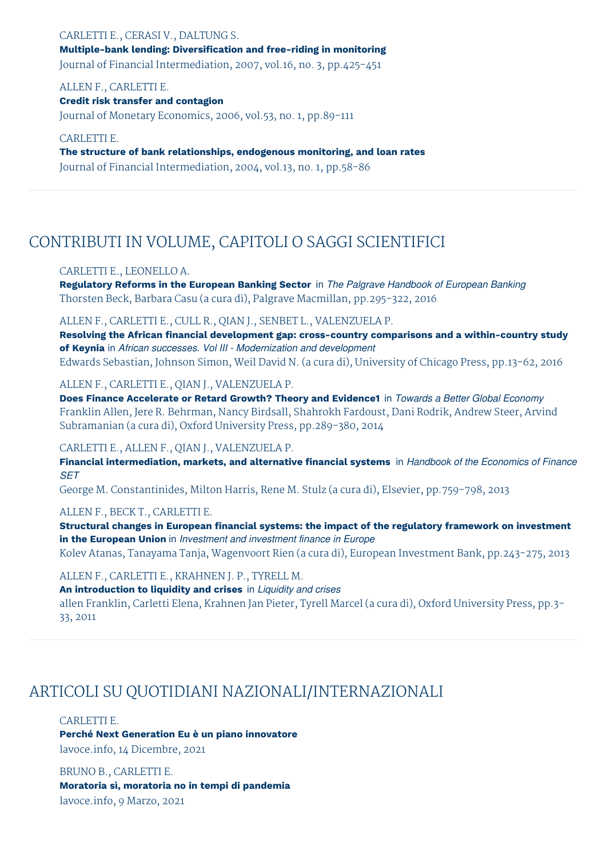CARLETTI E., CERASI V., DALTUNG S. **Multiple-bank lending: Diversification and free-riding in monitoring** Journal of Financial Intermediation, 2007, vol.16, no. 3, pp.425-451

ALLEN F., CARLETTI E. **Credit risk transfer and contagion** Journal of Monetary Economics, 2006, vol.53, no. 1, pp.89-111

CARLETTI E. **The structure of bank relationships, endogenous monitoring, and loan rates** Journal of Financial Intermediation, 2004, vol.13, no. 1, pp.58-86

# CONTRIBUTI IN VOLUME, CAPITOLI O SAGGI SCIENTIFICI

#### CARLETTI E., LEONELLO A.

**Regulatory Reforms in the European Banking Sector** in *The Palgrave Handbook of European Banking* Thorsten Beck, Barbara Casu (a cura di), Palgrave Macmillan, pp.295-322, 2016

ALLEN F., CARLETTI E., CULL R., QIAN J., SENBET L., VALENZUELA P.

**Resolving the African financial development gap: cross-country comparisons and a within-country study of Keynia** in *African successes. Vol III - Modernization and development* Edwards Sebastian, Johnson Simon, Weil David N. (a cura di), University of Chicago Press, pp.13-62, 2016

#### ALLEN F., CARLETTI E., QIAN J., VALENZUELA P.

**Does Finance Accelerate or Retard Growth? Theory and Evidence1** in *Towards a Better Global Economy* Franklin Allen, Jere R. Behrman, Nancy Birdsall, Shahrokh Fardoust, Dani Rodrik, Andrew Steer, Arvind Subramanian (a cura di), Oxford University Press, pp.289-380, 2014

#### CARLETTI E., ALLEN F., QIAN J., VALENZUELA P.

**Financial intermediation, markets, and alternative financial systems** in *Handbook of the Economics of Finance SET*

George M. Constantinides, Milton Harris, Rene M. Stulz (a cura di), Elsevier, pp.759-798, 2013

#### ALLEN F., BECK T., CARLETTI E.

**Structural changes in European financial systems: the impact of the regulatory framework on investment in the European Union** in *Investment and investment finance in Europe* Kolev Atanas, Tanayama Tanja, Wagenvoort Rien (a cura di), European Investment Bank, pp.243-275, 2013

#### ALLEN F., CARLETTI E., KRAHNEN J. P., TYRELL M.

**An introduction to liquidity and crises** in *Liquidity and crises* allen Franklin, Carletti Elena, Krahnen Jan Pieter, Tyrell Marcel (a cura di), Oxford University Press, pp.3- 33, 2011

### ARTICOLI SU QUOTIDIANI NAZIONALI/INTERNAZIONALI

CARLETTI E.

**Perché Next Generation Eu è un piano innovatore** lavoce.info, 14 Dicembre, 2021

BRUNO B., CARLETTI E. **Moratoria sì, moratoria no in tempi di pandemia** lavoce.info, 9 Marzo, 2021